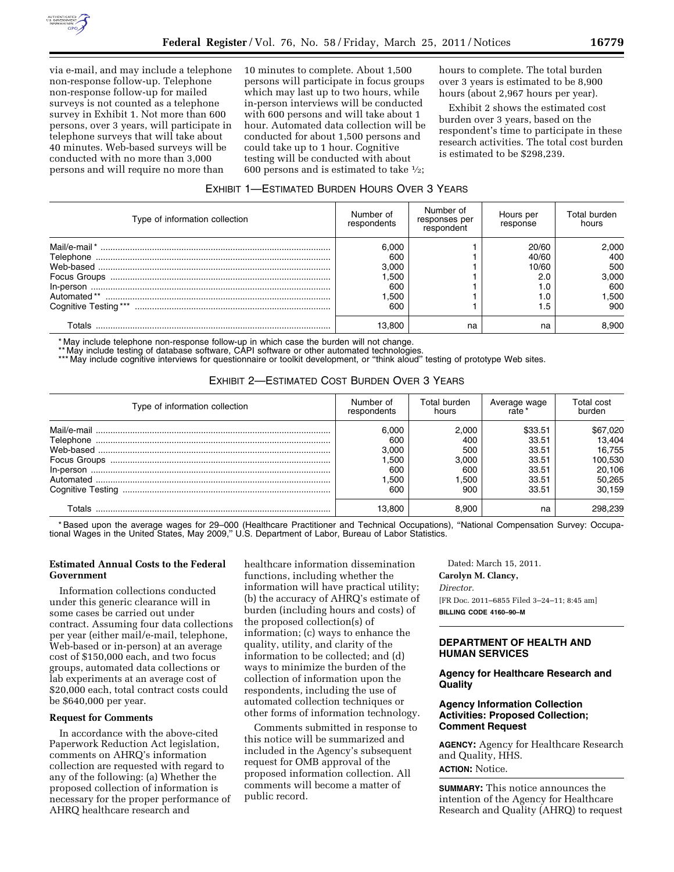

via e-mail, and may include a telephone non-response follow-up. Telephone non-response follow-up for mailed surveys is not counted as a telephone survey in Exhibit 1. Not more than 600 persons, over 3 years, will participate in telephone surveys that will take about 40 minutes. Web-based surveys will be conducted with no more than 3,000 persons and will require no more than

10 minutes to complete. About 1,500 persons will participate in focus groups which may last up to two hours, while in-person interviews will be conducted with 600 persons and will take about 1 hour. Automated data collection will be conducted for about 1,500 persons and could take up to 1 hour. Cognitive testing will be conducted with about 600 persons and is estimated to take  $\frac{1}{2}$ ;

hours to complete. The total burden over 3 years is estimated to be 8,900 hours (about 2,967 hours per year).

Exhibit 2 shows the estimated cost burden over 3 years, based on the respondent's time to participate in these research activities. The total cost burden is estimated to be \$298,239.

## EXHIBIT 1—ESTIMATED BURDEN HOURS OVER 3 YEARS

| Type of information collection | Number of<br>respondents | Number of<br>responses per<br>respondent | Hours per<br>response | Total burden<br>hours |
|--------------------------------|--------------------------|------------------------------------------|-----------------------|-----------------------|
|                                | 6.000<br>600             |                                          | 20/60<br>40/60        | 2.000<br>400          |
|                                | 3.000                    |                                          | 10/60                 | 500                   |
|                                | 1.500<br>600             |                                          | 2.0                   | 3,000<br>600          |
|                                | .500                     |                                          | 1.0                   | 1.500                 |
|                                | 600                      |                                          | 5.،                   | 900                   |
| Totals                         | 13.800                   | na                                       | na                    | 8.900                 |

\* May include telephone non-response follow-up in which case the burden will not change.

\*\* May include testing of database software, CAPI software or other automated technologies.

\*\*\* May include cognitive interviews for questionnaire or toolkit development, or "think aloud" testing of prototype Web sites.

# EXHIBIT 2—ESTIMATED COST BURDEN OVER 3 YEARS

| Type of information collection | Number of   | Total burden | Average wage | Total cost |
|--------------------------------|-------------|--------------|--------------|------------|
|                                | respondents | hours        | rate         | burden     |
|                                | 6.000       | 2.000        | \$33.51      | \$67,020   |
|                                | 600         | 400          | 33.51        | 13.404     |
|                                | 3.000       | 500          | 33.51        | 16.755     |
|                                | .500        | 3.000        | 33.51        | 100,530    |
|                                | 600         | 600          | 33.51        | 20,106     |
|                                | .500        | 1.500        | 33.51        | 50,265     |
|                                | 600         | 900          | 33.51        | 30.159     |
| Totals                         | 13.800      | 8.900        | na           | 298.239    |

\* Based upon the average wages for 29–000 (Healthcare Practitioner and Technical Occupations), ''National Compensation Survey: Occupational Wages in the United States, May 2009," U.S. Department of Labor, Bureau of Labor Statistics.

# **Estimated Annual Costs to the Federal Government**

Information collections conducted under this generic clearance will in some cases be carried out under contract. Assuming four data collections per year (either mail/e-mail, telephone, Web-based or in-person) at an average cost of \$150,000 each, and two focus groups, automated data collections or lab experiments at an average cost of \$20,000 each, total contract costs could be \$640,000 per year.

## **Request for Comments**

In accordance with the above-cited Paperwork Reduction Act legislation, comments on AHRQ's information collection are requested with regard to any of the following: (a) Whether the proposed collection of information is necessary for the proper performance of AHRQ healthcare research and

healthcare information dissemination functions, including whether the information will have practical utility; (b) the accuracy of AHRQ's estimate of burden (including hours and costs) of the proposed collection(s) of information; (c) ways to enhance the quality, utility, and clarity of the information to be collected; and (d) ways to minimize the burden of the collection of information upon the respondents, including the use of automated collection techniques or other forms of information technology.

Comments submitted in response to this notice will be summarized and included in the Agency's subsequent request for OMB approval of the proposed information collection. All comments will become a matter of public record.

Dated: March 15, 2011. **Carolyn M. Clancy,**  *Director.*  [FR Doc. 2011–6855 Filed 3–24–11; 8:45 am] **BILLING CODE 4160–90–M** 

# **DEPARTMENT OF HEALTH AND HUMAN SERVICES**

## **Agency for Healthcare Research and Quality**

# **Agency Information Collection Activities: Proposed Collection; Comment Request**

**AGENCY:** Agency for Healthcare Research and Quality, HHS.

**ACTION:** Notice.

**SUMMARY:** This notice announces the intention of the Agency for Healthcare Research and Quality (AHRQ) to request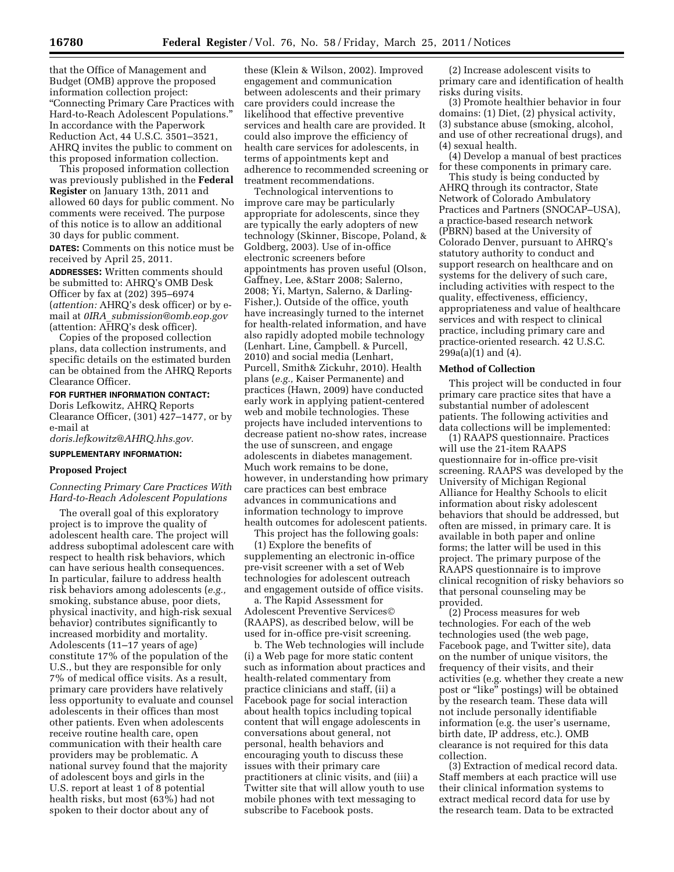that the Office of Management and Budget (OMB) approve the proposed information collection project: ''Connecting Primary Care Practices with Hard-to-Reach Adolescent Populations.'' In accordance with the Paperwork Reduction Act, 44 U.S.C. 3501–3521, AHRQ invites the public to comment on this proposed information collection.

This proposed information collection was previously published in the **Federal Register** on January 13th, 2011 and allowed 60 days for public comment. No comments were received. The purpose of this notice is to allow an additional 30 days for public comment.

**DATES:** Comments on this notice must be received by April 25, 2011.

**ADDRESSES:** Written comments should be submitted to: AHRQ's OMB Desk Officer by fax at (202) 395–6974 (*attention:* AHRQ's desk officer) or by email at *0IRA*\_*[submission@omb.eop.gov](mailto:0IRA_submission@omb.eop.gov)*  (attention: AHRQ's desk officer).

Copies of the proposed collection plans, data collection instruments, and specific details on the estimated burden can be obtained from the AHRQ Reports Clearance Officer.

#### **FOR FURTHER INFORMATION CONTACT:**

Doris Lefkowitz, AHRQ Reports Clearance Officer, (301) 427–1477, or by e-mail at

*[doris.lefkowitz@AHRQ.hhs.gov.](mailto:doris.lefkowitz@AHRQ.hhs.gov)* 

## **SUPPLEMENTARY INFORMATION:**

## **Proposed Project**

## *Connecting Primary Care Practices With Hard-to-Reach Adolescent Populations*

The overall goal of this exploratory project is to improve the quality of adolescent health care. The project will address suboptimal adolescent care with respect to health risk behaviors, which can have serious health consequences. In particular, failure to address health risk behaviors among adolescents (*e.g.,*  smoking, substance abuse, poor diets, physical inactivity, and high-risk sexual behavior) contributes significantly to increased morbidity and mortality. Adolescents (11–17 years of age) constitute 17% of the population of the U.S., but they are responsible for only 7% of medical office visits. As a result, primary care providers have relatively less opportunity to evaluate and counsel adolescents in their offices than most other patients. Even when adolescents receive routine health care, open communication with their health care providers may be problematic. A national survey found that the majority of adolescent boys and girls in the U.S. report at least 1 of 8 potential health risks, but most (63%) had not spoken to their doctor about any of

these (Klein & Wilson, 2002). Improved engagement and communication between adolescents and their primary care providers could increase the likelihood that effective preventive services and health care are provided. It could also improve the efficiency of health care services for adolescents, in terms of appointments kept and adherence to recommended screening or treatment recommendations.

Technological interventions to improve care may be particularly appropriate for adolescents, since they are typically the early adopters of new technology (Skinner, Biscope, Poland, & Goldberg, 2003). Use of in-office electronic screeners before appointments has proven useful (Olson, Gaffney, Lee, &Starr 2008; Salerno, 2008; Yi, Martyn, Salerno, & Darling-Fisher,). Outside of the office, youth have increasingly turned to the internet for health-related information, and have also rapidly adopted mobile technology (Lenhart. Line, Campbell. & Purcell, 2010) and social media (Lenhart, Purcell, Smith& Zickuhr, 2010). Health plans (*e.g.,* Kaiser Permanente) and practices (Hawn, 2009) have conducted early work in applying patient-centered web and mobile technologies. These projects have included interventions to decrease patient no-show rates, increase the use of sunscreen, and engage adolescents in diabetes management. Much work remains to be done, however, in understanding how primary care practices can best embrace advances in communications and information technology to improve health outcomes for adolescent patients.

This project has the following goals:

(1) Explore the benefits of supplementing an electronic in-office pre-visit screener with a set of Web technologies for adolescent outreach and engagement outside of office visits.

a. The Rapid Assessment for Adolescent Preventive Services© (RAAPS), as described below, will be used for in-office pre-visit screening.

b. The Web technologies will include (i) a Web page for more static content such as information about practices and health-related commentary from practice clinicians and staff, (ii) a Facebook page for social interaction about health topics including topical content that will engage adolescents in conversations about general, not personal, health behaviors and encouraging youth to discuss these issues with their primary care practitioners at clinic visits, and (iii) a Twitter site that will allow youth to use mobile phones with text messaging to subscribe to Facebook posts.

(2) Increase adolescent visits to primary care and identification of health risks during visits.

(3) Promote healthier behavior in four domains: (1) Diet, (2) physical activity, (3) substance abuse (smoking, alcohol, and use of other recreational drugs), and (4) sexual health.

(4) Develop a manual of best practices for these components in primary care.

This study is being conducted by AHRQ through its contractor, State Network of Colorado Ambulatory Practices and Partners (SNOCAP–USA), a practice-based research network (PBRN) based at the University of Colorado Denver, pursuant to AHRQ's statutory authority to conduct and support research on healthcare and on systems for the delivery of such care, including activities with respect to the quality, effectiveness, efficiency, appropriateness and value of healthcare services and with respect to clinical practice, including primary care and practice-oriented research. 42 U.S.C.  $299a(a)(1)$  and  $(4)$ .

#### **Method of Collection**

This project will be conducted in four primary care practice sites that have a substantial number of adolescent patients. The following activities and data collections will be implemented:

(1) RAAPS questionnaire. Practices will use the 21-item RAAPS questionnaire for in-office pre-visit screening. RAAPS was developed by the University of Michigan Regional Alliance for Healthy Schools to elicit information about risky adolescent behaviors that should be addressed, but often are missed, in primary care. It is available in both paper and online forms; the latter will be used in this project. The primary purpose of the RAAPS questionnaire is to improve clinical recognition of risky behaviors so that personal counseling may be provided.

(2) Process measures for web technologies. For each of the web technologies used (the web page, Facebook page, and Twitter site), data on the number of unique visitors, the frequency of their visits, and their activities (e.g. whether they create a new post or ''like'' postings) will be obtained by the research team. These data will not include personally identifiable information (e.g. the user's username, birth date, IP address, etc.). OMB clearance is not required for this data collection.

(3) Extraction of medical record data. Staff members at each practice will use their clinical information systems to extract medical record data for use by the research team. Data to be extracted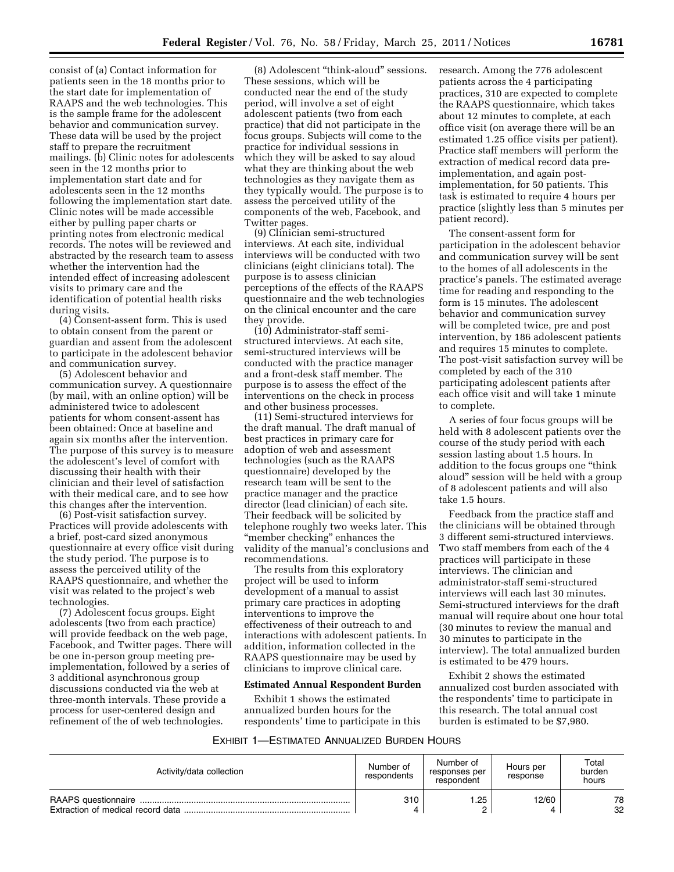consist of (a) Contact information for patients seen in the 18 months prior to the start date for implementation of RAAPS and the web technologies. This is the sample frame for the adolescent behavior and communication survey. These data will be used by the project staff to prepare the recruitment mailings. (b) Clinic notes for adolescents seen in the 12 months prior to implementation start date and for adolescents seen in the 12 months following the implementation start date. Clinic notes will be made accessible either by pulling paper charts or printing notes from electronic medical records. The notes will be reviewed and abstracted by the research team to assess whether the intervention had the intended effect of increasing adolescent visits to primary care and the identification of potential health risks during visits.

(4) Consent-assent form. This is used to obtain consent from the parent or guardian and assent from the adolescent to participate in the adolescent behavior and communication survey.

(5) Adolescent behavior and communication survey. A questionnaire (by mail, with an online option) will be administered twice to adolescent patients for whom consent-assent has been obtained: Once at baseline and again six months after the intervention. The purpose of this survey is to measure the adolescent's level of comfort with discussing their health with their clinician and their level of satisfaction with their medical care, and to see how this changes after the intervention.

(6) Post-visit satisfaction survey. Practices will provide adolescents with a brief, post-card sized anonymous questionnaire at every office visit during the study period. The purpose is to assess the perceived utility of the RAAPS questionnaire, and whether the visit was related to the project's web technologies.

(7) Adolescent focus groups. Eight adolescents (two from each practice) will provide feedback on the web page, Facebook, and Twitter pages. There will be one in-person group meeting preimplementation, followed by a series of 3 additional asynchronous group discussions conducted via the web at three-month intervals. These provide a process for user-centered design and refinement of the of web technologies.

(8) Adolescent ''think-aloud'' sessions. These sessions, which will be conducted near the end of the study period, will involve a set of eight adolescent patients (two from each practice) that did not participate in the focus groups. Subjects will come to the practice for individual sessions in which they will be asked to say aloud what they are thinking about the web technologies as they navigate them as they typically would. The purpose is to assess the perceived utility of the components of the web, Facebook, and Twitter pages.

(9) Clinician semi-structured interviews. At each site, individual interviews will be conducted with two clinicians (eight clinicians total). The purpose is to assess clinician perceptions of the effects of the RAAPS questionnaire and the web technologies on the clinical encounter and the care they provide.

(10) Administrator-staff semistructured interviews. At each site, semi-structured interviews will be conducted with the practice manager and a front-desk staff member. The purpose is to assess the effect of the interventions on the check in process and other business processes.

(11) Semi-structured interviews for the draft manual. The draft manual of best practices in primary care for adoption of web and assessment technologies (such as the RAAPS questionnaire) developed by the research team will be sent to the practice manager and the practice director (lead clinician) of each site. Their feedback will be solicited by telephone roughly two weeks later. This "member checking" enhances the validity of the manual's conclusions and recommendations.

The results from this exploratory project will be used to inform development of a manual to assist primary care practices in adopting interventions to improve the effectiveness of their outreach to and interactions with adolescent patients. In addition, information collected in the RAAPS questionnaire may be used by clinicians to improve clinical care.

#### **Estimated Annual Respondent Burden**

Exhibit 1 shows the estimated annualized burden hours for the respondents' time to participate in this research. Among the 776 adolescent patients across the 4 participating practices, 310 are expected to complete the RAAPS questionnaire, which takes about 12 minutes to complete, at each office visit (on average there will be an estimated 1.25 office visits per patient). Practice staff members will perform the extraction of medical record data preimplementation, and again postimplementation, for 50 patients. This task is estimated to require 4 hours per practice (slightly less than 5 minutes per patient record).

The consent-assent form for participation in the adolescent behavior and communication survey will be sent to the homes of all adolescents in the practice's panels. The estimated average time for reading and responding to the form is 15 minutes. The adolescent behavior and communication survey will be completed twice, pre and post intervention, by 186 adolescent patients and requires 15 minutes to complete. The post-visit satisfaction survey will be completed by each of the 310 participating adolescent patients after each office visit and will take 1 minute to complete.

A series of four focus groups will be held with 8 adolescent patients over the course of the study period with each session lasting about 1.5 hours. In addition to the focus groups one ''think aloud'' session will be held with a group of 8 adolescent patients and will also take 1.5 hours.

Feedback from the practice staff and the clinicians will be obtained through 3 different semi-structured interviews. Two staff members from each of the 4 practices will participate in these interviews. The clinician and administrator-staff semi-structured interviews will each last 30 minutes. Semi-structured interviews for the draft manual will require about one hour total (30 minutes to review the manual and 30 minutes to participate in the interview). The total annualized burden is estimated to be 479 hours.

Exhibit 2 shows the estimated annualized cost burden associated with the respondents' time to participate in this research. The total annual cost burden is estimated to be \$7,980.

| Exhibit 1—Estimated Annualized Burden Hours |
|---------------------------------------------|
|---------------------------------------------|

| Activity/data collection | Number of<br>respondents | Number of<br>responses per<br>respondent | Hours per<br>response | Total<br>burden<br>hours |
|--------------------------|--------------------------|------------------------------------------|-----------------------|--------------------------|
|                          | 310                      | .25                                      | 12/60<br>Δ            | 78<br>32                 |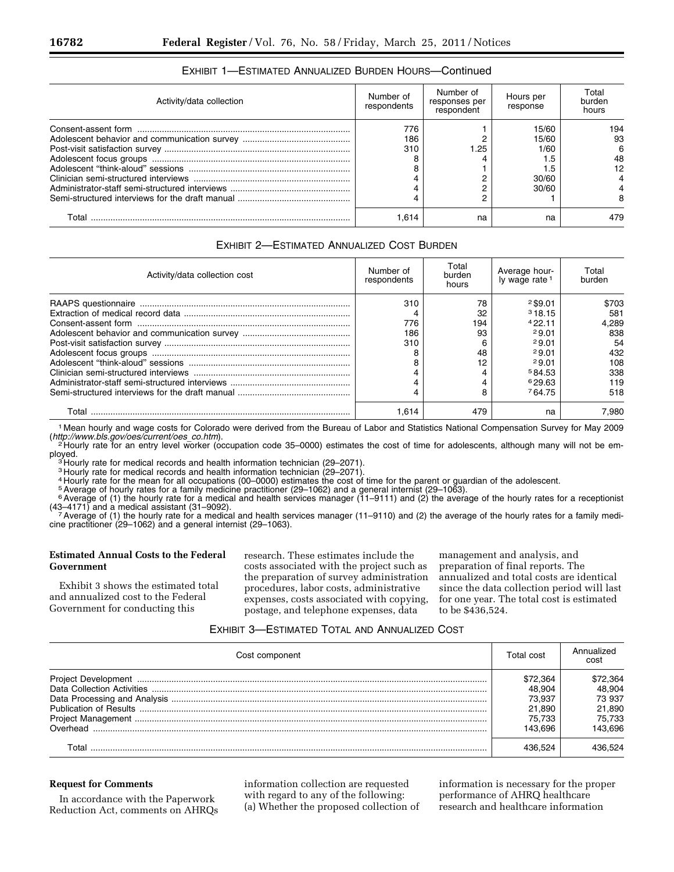| Activity/data collection | Number of<br>respondents | Number of<br>responses per<br>respondent | Hours per<br>response | Total<br>burden<br>hours |
|--------------------------|--------------------------|------------------------------------------|-----------------------|--------------------------|
|                          | 776                      |                                          | 15/60                 | 194                      |
|                          | 186                      |                                          | 15/60                 | 93                       |
|                          | 310                      | 1.25                                     | 1/60                  | 6                        |
|                          |                          |                                          | 1.5                   | 48                       |
|                          |                          |                                          | 5. ،                  | 12                       |
|                          |                          |                                          | 30/60                 |                          |
|                          |                          |                                          | 30/60                 |                          |
|                          |                          |                                          |                       |                          |
| Total                    | 1.614                    | na                                       | na                    | 479                      |

# EXHIBIT 1—ESTIMATED ANNUALIZED BURDEN HOURS—Continued

# EXHIBIT 2—ESTIMATED ANNUALIZED COST BURDEN

| Activity/data collection cost | Number of<br>respondents | Total<br>burden<br>hours | Average hour-<br>ly wage rate <sup>1</sup> | Total<br>burden |
|-------------------------------|--------------------------|--------------------------|--------------------------------------------|-----------------|
|                               | 310                      | 78                       | $2$ \$9.01                                 | \$703           |
|                               |                          | 32                       | 318.15                                     | 581             |
|                               | 776                      | 194                      | 422.11                                     | 4.289           |
|                               | 186                      | 93                       | 29.01                                      | 838             |
|                               | 310                      | 6                        | 29.01                                      | 54              |
|                               |                          | 48                       | 29.01                                      | 432             |
|                               |                          | 12                       | 29.01                                      | 108             |
|                               |                          |                          | 584.53                                     | 338             |
|                               |                          |                          | 629.63                                     | 119             |
|                               |                          | 8                        | 764.75                                     | 518             |
|                               | 1.614                    | 479                      | na                                         | 7.980           |

1 Mean hourly and wage costs for Colorado were derived from the Bureau of Labor and Statistics National Compensation Survey for May 2009

(*http://www.bls.gov/oes/current/oes*\_*co.htm*[\). 2](http://www.bls.gov/oes/current/oes_co.htm) Hourly rate for an entry level worker (occupation code 35–0000) estimates the cost of time for adolescents, although many will not be employed.<br><sup>3</sup> Hourly rate for medical records and health information technician (29–2071).<br><sup>3</sup> Hourly rate for medical records and health information technician (29–2071).

<sup>3</sup> Hourly rate for medical records and health information technician (29–2071).

4 Hourly rate for the mean for all occupations (00–0000) estimates the cost of time for the parent or guardian of the adolescent.

5Average of hourly rates for a family medicine practitioner (29–1062) and a general internist (29–1063).

6 Average of (1) the hourly rate for a medical and health services manager (11–9111) and (2) the average of the hourly rates for a receptionist (43–4171) and a medical assistant (31–9092).<br>7 Average of (1) the hourly rate for a medical and health services manager (11–9110) and (2) the average of the hourly rates for a family medi-

cine practitioner (29–1062) and a general internist (29–1063).

# **Estimated Annual Costs to the Federal Government**

Exhibit 3 shows the estimated total and annualized cost to the Federal Government for conducting this

research. These estimates include the costs associated with the project such as the preparation of survey administration procedures, labor costs, administrative expenses, costs associated with copying, postage, and telephone expenses, data

management and analysis, and preparation of final reports. The annualized and total costs are identical since the data collection period will last for one year. The total cost is estimated to be \$436,524.

# EXHIBIT 3—ESTIMATED TOTAL AND ANNUALIZED COST

| Cost component | Total cost | Annualized<br>cost |
|----------------|------------|--------------------|
|                | \$72.364   | \$72.364           |
|                | 48.904     | 48.904             |
|                | 73.937     | 73 937             |
|                | 21.890     | 21.890             |
|                | 75.733     | 75.733             |
|                | 143.696    | 143.696            |
|                | 136 524    | 436.524            |

## **Request for Comments**

In accordance with the Paperwork Reduction Act, comments on AHRQs information collection are requested with regard to any of the following: (a) Whether the proposed collection of

information is necessary for the proper performance of AHRQ healthcare research and healthcare information